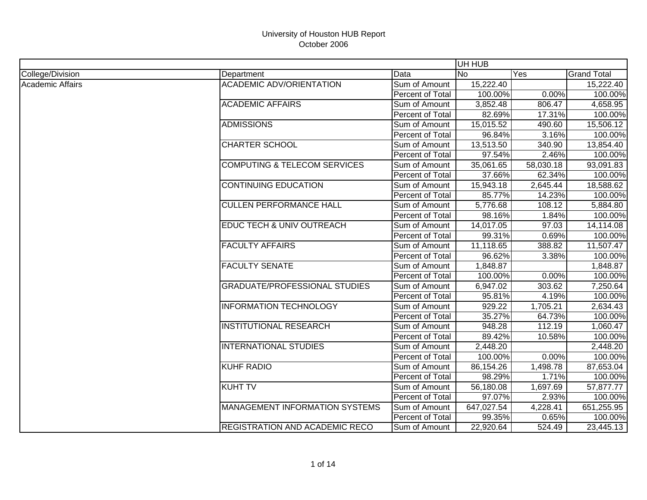|                  |                                         |                  | UH HUB     |           |                    |
|------------------|-----------------------------------------|------------------|------------|-----------|--------------------|
| College/Division | Department                              | Data             | INo.       | Yes       | <b>Grand Total</b> |
| Academic Affairs | <b>ACADEMIC ADV/ORIENTATION</b>         | Sum of Amount    | 15,222.40  |           | 15,222.40          |
|                  |                                         | Percent of Total | 100.00%    | 0.00%     | 100.00%            |
|                  | <b>ACADEMIC AFFAIRS</b>                 | Sum of Amount    | 3,852.48   | 806.47    | 4,658.95           |
|                  |                                         | Percent of Total | 82.69%     | 17.31%    | 100.00%            |
|                  | <b>ADMISSIONS</b>                       | Sum of Amount    | 15,015.52  | 490.60    | 15,506.12          |
|                  |                                         | Percent of Total | 96.84%     | 3.16%     | 100.00%            |
|                  | <b>CHARTER SCHOOL</b>                   | Sum of Amount    | 13,513.50  | 340.90    | 13,854.40          |
|                  |                                         | Percent of Total | 97.54%     | 2.46%     | 100.00%            |
|                  | <b>COMPUTING &amp; TELECOM SERVICES</b> | Sum of Amount    | 35,061.65  | 58,030.18 | 93,091.83          |
|                  |                                         | Percent of Total | 37.66%     | 62.34%    | 100.00%            |
|                  | <b>CONTINUING EDUCATION</b>             | Sum of Amount    | 15,943.18  | 2,645.44  | 18,588.62          |
|                  |                                         | Percent of Total | 85.77%     | 14.23%    | 100.00%            |
|                  | <b>CULLEN PERFORMANCE HALL</b>          | Sum of Amount    | 5,776.68   | 108.12    | 5,884.80           |
|                  |                                         | Percent of Total | 98.16%     | 1.84%     | 100.00%            |
|                  | EDUC TECH & UNIV OUTREACH               | Sum of Amount    | 14,017.05  | 97.03     | 14,114.08          |
|                  |                                         | Percent of Total | 99.31%     | 0.69%     | 100.00%            |
|                  | <b>FACULTY AFFAIRS</b>                  | Sum of Amount    | 11,118.65  | 388.82    | 11,507.47          |
|                  |                                         | Percent of Total | 96.62%     | 3.38%     | 100.00%            |
|                  | <b>FACULTY SENATE</b>                   | Sum of Amount    | 1,848.87   |           | 1,848.87           |
|                  |                                         | Percent of Total | 100.00%    | 0.00%     | 100.00%            |
|                  | <b>GRADUATE/PROFESSIONAL STUDIES</b>    | Sum of Amount    | 6,947.02   | 303.62    | 7,250.64           |
|                  |                                         | Percent of Total | 95.81%     | 4.19%     | 100.00%            |
|                  | <b>INFORMATION TECHNOLOGY</b>           | Sum of Amount    | 929.22     | 1,705.21  | 2,634.43           |
|                  |                                         | Percent of Total | 35.27%     | 64.73%    | 100.00%            |
|                  | <b>INSTITUTIONAL RESEARCH</b>           | Sum of Amount    | 948.28     | 112.19    | 1,060.47           |
|                  |                                         | Percent of Total | 89.42%     | 10.58%    | 100.00%            |
|                  | <b>INTERNATIONAL STUDIES</b>            | Sum of Amount    | 2,448.20   |           | 2,448.20           |
|                  |                                         | Percent of Total | 100.00%    | 0.00%     | 100.00%            |
|                  | <b>KUHF RADIO</b>                       | Sum of Amount    | 86,154.26  | 1,498.78  | 87,653.04          |
|                  |                                         | Percent of Total | 98.29%     | 1.71%     | 100.00%            |
|                  | <b>KUHT TV</b>                          | Sum of Amount    | 56,180.08  | 1,697.69  | 57,877.77          |
|                  |                                         | Percent of Total | 97.07%     | 2.93%     | 100.00%            |
|                  | <b>MANAGEMENT INFORMATION SYSTEMS</b>   | Sum of Amount    | 647,027.54 | 4,228.41  | 651,255.95         |
|                  |                                         | Percent of Total | 99.35%     | 0.65%     | 100.00%            |
|                  | REGISTRATION AND ACADEMIC RECO          | Sum of Amount    | 22,920.64  | 524.49    | 23,445.13          |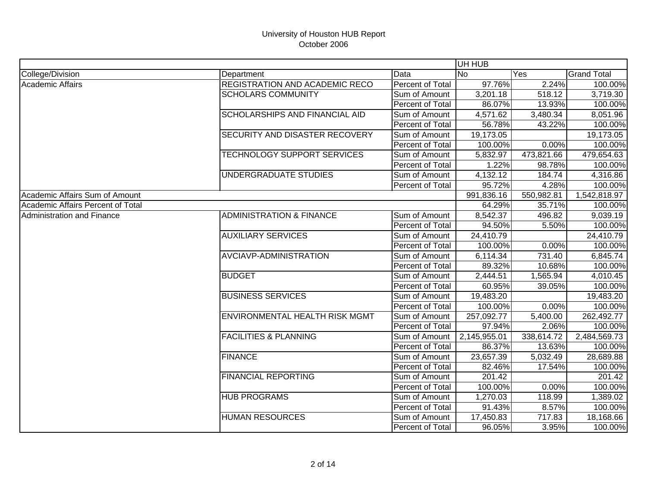|                                   |                                       |                         | UH HUB       |            |                    |
|-----------------------------------|---------------------------------------|-------------------------|--------------|------------|--------------------|
| College/Division                  | Department                            | Data                    | <b>No</b>    | Yes        | <b>Grand Total</b> |
| <b>Academic Affairs</b>           | REGISTRATION AND ACADEMIC RECO        | <b>Percent of Total</b> | 97.76%       | 2.24%      | 100.00%            |
|                                   | <b>SCHOLARS COMMUNITY</b>             | Sum of Amount           | 3,201.18     | 518.12     | 3,719.30           |
|                                   |                                       | Percent of Total        | 86.07%       | 13.93%     | 100.00%            |
|                                   | <b>SCHOLARSHIPS AND FINANCIAL AID</b> | Sum of Amount           | 4,571.62     | 3,480.34   | 8,051.96           |
|                                   |                                       | Percent of Total        | 56.78%       | 43.22%     | 100.00%            |
|                                   | SECURITY AND DISASTER RECOVERY        | Sum of Amount           | 19,173.05    |            | 19,173.05          |
|                                   |                                       | Percent of Total        | 100.00%      | 0.00%      | 100.00%            |
|                                   | <b>TECHNOLOGY SUPPORT SERVICES</b>    | Sum of Amount           | 5,832.97     | 473,821.66 | 479,654.63         |
|                                   |                                       | Percent of Total        | 1.22%        | 98.78%     | 100.00%            |
|                                   | UNDERGRADUATE STUDIES                 | Sum of Amount           | 4,132.12     | 184.74     | 4,316.86           |
|                                   |                                       | Percent of Total        | 95.72%       | 4.28%      | 100.00%            |
| Academic Affairs Sum of Amount    |                                       |                         | 991,836.16   | 550,982.81 | 1,542,818.97       |
| Academic Affairs Percent of Total |                                       |                         | 64.29%       | 35.71%     | 100.00%            |
| <b>Administration and Finance</b> | <b>ADMINISTRATION &amp; FINANCE</b>   | Sum of Amount           | 8,542.37     | 496.82     | 9,039.19           |
|                                   |                                       | Percent of Total        | 94.50%       | 5.50%      | 100.00%            |
|                                   | <b>AUXILIARY SERVICES</b>             | Sum of Amount           | 24,410.79    |            | 24,410.79          |
|                                   |                                       | Percent of Total        | 100.00%      | 0.00%      | 100.00%            |
|                                   | AVCIAVP-ADMINISTRATION                | Sum of Amount           | 6,114.34     | 731.40     | 6,845.74           |
|                                   |                                       | Percent of Total        | 89.32%       | 10.68%     | 100.00%            |
|                                   | <b>BUDGET</b>                         | Sum of Amount           | 2,444.51     | 1,565.94   | 4,010.45           |
|                                   |                                       | Percent of Total        | 60.95%       | 39.05%     | 100.00%            |
|                                   | <b>BUSINESS SERVICES</b>              | Sum of Amount           | 19,483.20    |            | 19,483.20          |
|                                   |                                       | Percent of Total        | 100.00%      | 0.00%      | 100.00%            |
|                                   | ENVIRONMENTAL HEALTH RISK MGMT        | Sum of Amount           | 257,092.77   | 5,400.00   | 262,492.77         |
|                                   |                                       | Percent of Total        | 97.94%       | 2.06%      | 100.00%            |
|                                   | <b>FACILITIES &amp; PLANNING</b>      | Sum of Amount           | 2,145,955.01 | 338,614.72 | 2,484,569.73       |
|                                   |                                       | Percent of Total        | 86.37%       | 13.63%     | 100.00%            |
|                                   | <b>FINANCE</b>                        | Sum of Amount           | 23,657.39    | 5,032.49   | 28,689.88          |
|                                   |                                       | Percent of Total        | 82.46%       | 17.54%     | 100.00%            |
|                                   | <b>FINANCIAL REPORTING</b>            | Sum of Amount           | 201.42       |            | 201.42             |
|                                   |                                       | Percent of Total        | 100.00%      | 0.00%      | 100.00%            |
|                                   | <b>HUB PROGRAMS</b>                   | Sum of Amount           | 1,270.03     | 118.99     | 1,389.02           |
|                                   |                                       | Percent of Total        | 91.43%       | 8.57%      | 100.00%            |
|                                   | <b>HUMAN RESOURCES</b>                | Sum of Amount           | 17,450.83    | 717.83     | 18,168.66          |
|                                   |                                       | Percent of Total        | 96.05%       | 3.95%      | 100.00%            |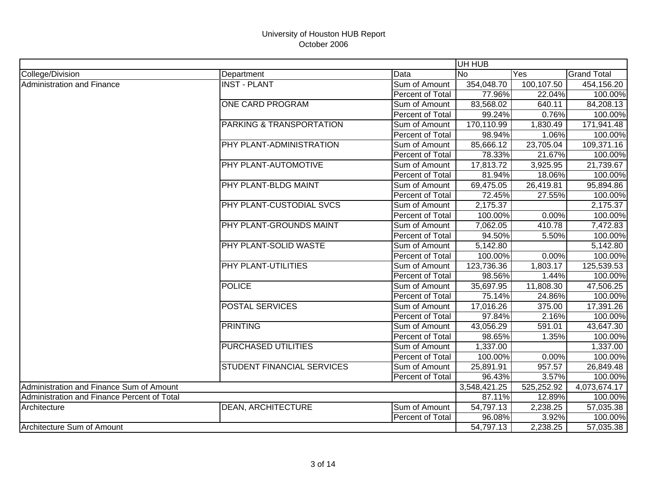|                                             |                                   |                  | UH HUB       |            |                    |
|---------------------------------------------|-----------------------------------|------------------|--------------|------------|--------------------|
| College/Division                            | Department                        | Data             | <b>No</b>    | Yes        | <b>Grand Total</b> |
| <b>Administration and Finance</b>           | <b>INST - PLANT</b>               | Sum of Amount    | 354,048.70   | 100,107.50 | 454,156.20         |
|                                             |                                   | Percent of Total | 77.96%       | 22.04%     | 100.00%            |
|                                             | <b>ONE CARD PROGRAM</b>           | Sum of Amount    | 83,568.02    | 640.11     | 84,208.13          |
|                                             |                                   | Percent of Total | 99.24%       | 0.76%      | 100.00%            |
|                                             | PARKING & TRANSPORTATION          | Sum of Amount    | 170,110.99   | 1,830.49   | 171,941.48         |
|                                             |                                   | Percent of Total | 98.94%       | 1.06%      | 100.00%            |
|                                             | PHY PLANT-ADMINISTRATION          | Sum of Amount    | 85,666.12    | 23,705.04  | 109,371.16         |
|                                             |                                   | Percent of Total | 78.33%       | 21.67%     | 100.00%            |
|                                             | PHY PLANT-AUTOMOTIVE              | Sum of Amount    | 17,813.72    | 3,925.95   | 21,739.67          |
|                                             |                                   | Percent of Total | 81.94%       | 18.06%     | 100.00%            |
|                                             | PHY PLANT-BLDG MAINT              | Sum of Amount    | 69,475.05    | 26,419.81  | 95,894.86          |
|                                             |                                   | Percent of Total | 72.45%       | 27.55%     | 100.00%            |
|                                             | PHY PLANT-CUSTODIAL SVCS          | Sum of Amount    | 2,175.37     |            | 2,175.37           |
|                                             |                                   | Percent of Total | 100.00%      | 0.00%      | 100.00%            |
|                                             | PHY PLANT-GROUNDS MAINT           | Sum of Amount    | 7,062.05     | 410.78     | 7,472.83           |
|                                             |                                   | Percent of Total | 94.50%       | 5.50%      | 100.00%            |
|                                             | PHY PLANT-SOLID WASTE             | Sum of Amount    | 5,142.80     |            | 5,142.80           |
|                                             |                                   | Percent of Total | 100.00%      | 0.00%      | 100.00%            |
|                                             | PHY PLANT-UTILITIES               | Sum of Amount    | 123,736.36   | 1,803.17   | 125,539.53         |
|                                             |                                   | Percent of Total | 98.56%       | 1.44%      | 100.00%            |
|                                             | <b>POLICE</b>                     | Sum of Amount    | 35,697.95    | 11,808.30  | 47,506.25          |
|                                             |                                   | Percent of Total | 75.14%       | 24.86%     | 100.00%            |
|                                             | <b>POSTAL SERVICES</b>            | Sum of Amount    | 17,016.26    | 375.00     | 17,391.26          |
|                                             |                                   | Percent of Total | 97.84%       | 2.16%      | 100.00%            |
|                                             | <b>PRINTING</b>                   | Sum of Amount    | 43,056.29    | 591.01     | 43,647.30          |
|                                             |                                   | Percent of Total | 98.65%       | 1.35%      | 100.00%            |
|                                             | <b>PURCHASED UTILITIES</b>        | Sum of Amount    | 1,337.00     |            | 1,337.00           |
|                                             |                                   | Percent of Total | 100.00%      | 0.00%      | 100.00%            |
|                                             | <b>STUDENT FINANCIAL SERVICES</b> | Sum of Amount    | 25,891.91    | 957.57     | 26,849.48          |
|                                             |                                   | Percent of Total | 96.43%       | 3.57%      | 100.00%            |
| Administration and Finance Sum of Amount    |                                   |                  | 3,548,421.25 | 525,252.92 | 4,073,674.17       |
| Administration and Finance Percent of Total |                                   |                  | 87.11%       | 12.89%     | 100.00%            |
| Architecture                                | <b>DEAN, ARCHITECTURE</b>         | Sum of Amount    | 54,797.13    | 2,238.25   | 57,035.38          |
|                                             |                                   | Percent of Total | 96.08%       | 3.92%      | 100.00%            |
| Architecture Sum of Amount                  |                                   |                  | 54,797.13    | 2,238.25   | 57,035.38          |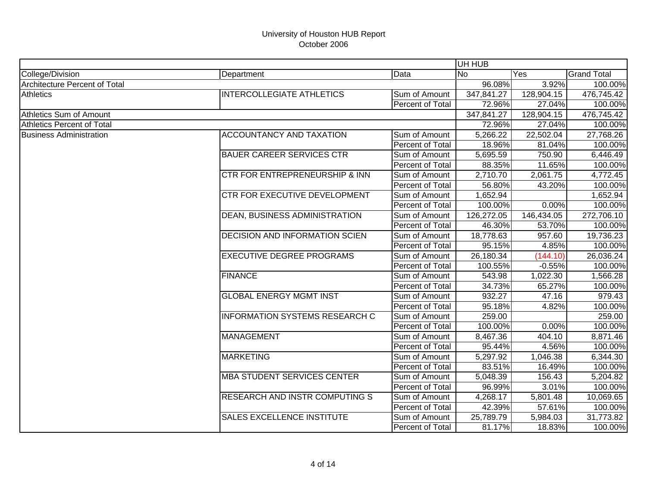|                                   |                                       |                  | UH HUB         |            |                    |
|-----------------------------------|---------------------------------------|------------------|----------------|------------|--------------------|
| College/Division                  | Department                            | Data             | N <sub>o</sub> | Yes        | <b>Grand Total</b> |
| Architecture Percent of Total     |                                       |                  | 96.08%         | 3.92%      | 100.00%            |
| <b>Athletics</b>                  | <b>INTERCOLLEGIATE ATHLETICS</b>      | Sum of Amount    | 347,841.27     | 128,904.15 | 476,745.42         |
|                                   |                                       | Percent of Total | 72.96%         | 27.04%     | 100.00%            |
| Athletics Sum of Amount           |                                       |                  | 347,841.27     | 128,904.15 | 476,745.42         |
| <b>Athletics Percent of Total</b> |                                       |                  | 72.96%         | 27.04%     | 100.00%            |
| <b>Business Administration</b>    | <b>ACCOUNTANCY AND TAXATION</b>       | Sum of Amount    | 5,266.22       | 22,502.04  | 27,768.26          |
|                                   |                                       | Percent of Total | 18.96%         | 81.04%     | 100.00%            |
|                                   | <b>BAUER CAREER SERVICES CTR</b>      | Sum of Amount    | 5,695.59       | 750.90     | 6,446.49           |
|                                   |                                       | Percent of Total | 88.35%         | 11.65%     | 100.00%            |
|                                   | CTR FOR ENTREPRENEURSHIP & INN        | Sum of Amount    | 2,710.70       | 2,061.75   | 4,772.45           |
|                                   |                                       | Percent of Total | 56.80%         | 43.20%     | 100.00%            |
|                                   | CTR FOR EXECUTIVE DEVELOPMENT         | Sum of Amount    | 1,652.94       |            | 1,652.94           |
|                                   |                                       | Percent of Total | 100.00%        | 0.00%      | 100.00%            |
|                                   | DEAN, BUSINESS ADMINISTRATION         | Sum of Amount    | 126,272.05     | 146,434.05 | 272,706.10         |
|                                   |                                       | Percent of Total | 46.30%         | 53.70%     | 100.00%            |
|                                   | <b>DECISION AND INFORMATION SCIEN</b> | Sum of Amount    | 18,778.63      | 957.60     | 19,736.23          |
|                                   |                                       | Percent of Total | 95.15%         | 4.85%      | 100.00%            |
|                                   | <b>EXECUTIVE DEGREE PROGRAMS</b>      | Sum of Amount    | 26,180.34      | (144.10)   | 26,036.24          |
|                                   |                                       | Percent of Total | 100.55%        | $-0.55%$   | 100.00%            |
|                                   | <b>FINANCE</b>                        | Sum of Amount    | 543.98         | 1,022.30   | 1,566.28           |
|                                   |                                       | Percent of Total | 34.73%         | 65.27%     | 100.00%            |
|                                   | <b>GLOBAL ENERGY MGMT INST</b>        | Sum of Amount    | 932.27         | 47.16      | 979.43             |
|                                   |                                       | Percent of Total | 95.18%         | 4.82%      | 100.00%            |
|                                   | <b>INFORMATION SYSTEMS RESEARCH C</b> | Sum of Amount    | 259.00         |            | 259.00             |
|                                   |                                       | Percent of Total | 100.00%        | 0.00%      | 100.00%            |
|                                   | <b>MANAGEMENT</b>                     | Sum of Amount    | 8,467.36       | 404.10     | 8,871.46           |
|                                   |                                       | Percent of Total | 95.44%         | 4.56%      | 100.00%            |
|                                   | <b>MARKETING</b>                      | Sum of Amount    | 5,297.92       | 1,046.38   | 6,344.30           |
|                                   |                                       | Percent of Total | 83.51%         | 16.49%     | 100.00%            |
|                                   | <b>MBA STUDENT SERVICES CENTER</b>    | Sum of Amount    | 5,048.39       | 156.43     | 5,204.82           |
|                                   |                                       | Percent of Total | 96.99%         | 3.01%      | 100.00%            |
|                                   | <b>RESEARCH AND INSTR COMPUTING S</b> | Sum of Amount    | 4,268.17       | 5,801.48   | 10,069.65          |
|                                   |                                       | Percent of Total | 42.39%         | 57.61%     | 100.00%            |
|                                   | <b>SALES EXCELLENCE INSTITUTE</b>     | Sum of Amount    | 25,789.79      | 5,984.03   | 31,773.82          |
|                                   |                                       | Percent of Total | 81.17%         | 18.83%     | 100.00%            |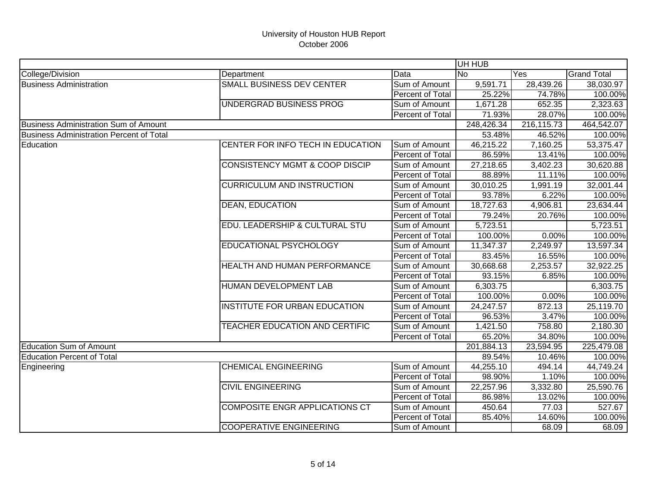|                                                 |                                           |                  | UH HUB                |            |                    |
|-------------------------------------------------|-------------------------------------------|------------------|-----------------------|------------|--------------------|
| College/Division                                | Department                                | Data             | <b>No</b>             | Yes        | <b>Grand Total</b> |
| <b>Business Administration</b>                  | <b>SMALL BUSINESS DEV CENTER</b>          | Sum of Amount    | 9,591.71              | 28,439.26  | 38,030.97          |
|                                                 |                                           | Percent of Total | 25.22%                | 74.78%     | 100.00%            |
|                                                 | UNDERGRAD BUSINESS PROG                   | Sum of Amount    | 1,671.28              | 652.35     | 2,323.63           |
|                                                 |                                           | Percent of Total | 71.93%                | 28.07%     | 100.00%            |
| <b>Business Administration Sum of Amount</b>    |                                           |                  | 248,426.34            | 216,115.73 | 464,542.07         |
| <b>Business Administration Percent of Total</b> |                                           |                  | 53.48%                | 46.52%     | 100.00%            |
| Education                                       | CENTER FOR INFO TECH IN EDUCATION         | Sum of Amount    | 46,215.22             | 7,160.25   | 53,375.47          |
|                                                 |                                           | Percent of Total | 86.59%                | 13.41%     | 100.00%            |
|                                                 | <b>CONSISTENCY MGMT &amp; COOP DISCIP</b> | Sum of Amount    | 27,218.65             | 3,402.23   | 30,620.88          |
|                                                 |                                           | Percent of Total | 88.89%                | 11.11%     | 100.00%            |
|                                                 | <b>CURRICULUM AND INSTRUCTION</b>         | Sum of Amount    | 30,010.25             | 1,991.19   | 32,001.44          |
|                                                 |                                           | Percent of Total | 93.78%                | 6.22%      | 100.00%            |
|                                                 | <b>DEAN, EDUCATION</b>                    | Sum of Amount    | 18,727.63             | 4,906.81   | 23,634.44          |
|                                                 |                                           | Percent of Total | 79.24%                | 20.76%     | 100.00%            |
|                                                 | EDU. LEADERSHIP & CULTURAL STU            | Sum of Amount    | 5,723.51              |            | 5,723.51           |
|                                                 |                                           | Percent of Total | 100.00%               | 0.00%      | 100.00%            |
|                                                 | <b>EDUCATIONAL PSYCHOLOGY</b>             | Sum of Amount    | 11,347.37             | 2,249.97   | 13,597.34          |
|                                                 |                                           | Percent of Total | 83.45%                | 16.55%     | 100.00%            |
|                                                 | HEALTH AND HUMAN PERFORMANCE              | Sum of Amount    | 30,668.68             | 2,253.57   | 32,922.25          |
|                                                 |                                           | Percent of Total | 93.15%                | 6.85%      | 100.00%            |
|                                                 | HUMAN DEVELOPMENT LAB                     | Sum of Amount    | 6,303.75              |            | 6,303.75           |
|                                                 |                                           | Percent of Total | 100.00%               | 0.00%      | 100.00%            |
|                                                 | INSTITUTE FOR URBAN EDUCATION             | Sum of Amount    | 24,247.57             | 872.13     | 25,119.70          |
|                                                 |                                           | Percent of Total | 96.53%                | 3.47%      | 100.00%            |
|                                                 | TEACHER EDUCATION AND CERTIFIC            | Sum of Amount    | $\overline{1,}421.50$ | 758.80     | 2,180.30           |
|                                                 |                                           | Percent of Total | 65.20%                | 34.80%     | 100.00%            |
| <b>Education Sum of Amount</b>                  |                                           |                  | 201,884.13            | 23,594.95  | 225,479.08         |
| <b>Education Percent of Total</b>               |                                           |                  | 89.54%                | 10.46%     | 100.00%            |
| Engineering                                     | <b>CHEMICAL ENGINEERING</b>               | Sum of Amount    | 44,255.10             | 494.14     | 44,749.24          |
|                                                 |                                           | Percent of Total | 98.90%                | 1.10%      | 100.00%            |
|                                                 | <b>CIVIL ENGINEERING</b>                  | Sum of Amount    | 22,257.96             | 3,332.80   | 25,590.76          |
|                                                 |                                           | Percent of Total | 86.98%                | 13.02%     | 100.00%            |
|                                                 | <b>COMPOSITE ENGR APPLICATIONS CT</b>     | Sum of Amount    | 450.64                | 77.03      | 527.67             |
|                                                 |                                           | Percent of Total | 85.40%                | 14.60%     | 100.00%            |
|                                                 | <b>COOPERATIVE ENGINEERING</b>            | Sum of Amount    |                       | 68.09      | 68.09              |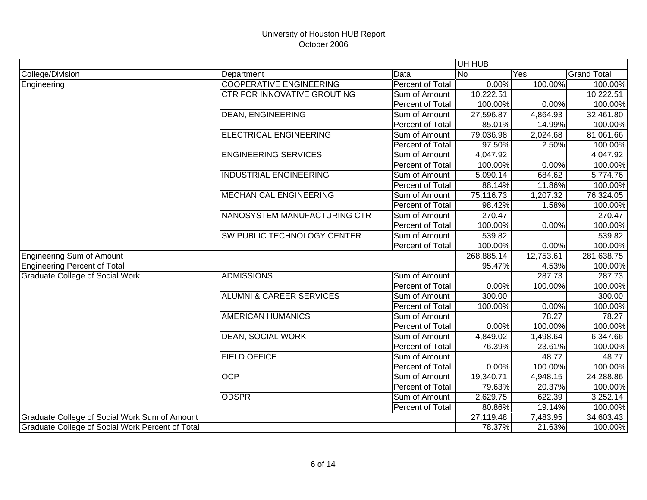|                                               |                                                  |                         | UH HUB     |                  |                    |
|-----------------------------------------------|--------------------------------------------------|-------------------------|------------|------------------|--------------------|
| College/Division                              | Department                                       | Data                    | <b>No</b>  | Yes              | <b>Grand Total</b> |
| Engineering                                   | <b>COOPERATIVE ENGINEERING</b>                   | <b>Percent of Total</b> | 0.00%      | 100.00%          | 100.00%            |
|                                               | <b>CTR FOR INNOVATIVE GROUTING</b>               | Sum of Amount           | 10,222.51  |                  | 10,222.51          |
|                                               |                                                  | Percent of Total        | 100.00%    | 0.00%            | 100.00%            |
|                                               | <b>DEAN, ENGINEERING</b>                         | Sum of Amount           | 27,596.87  | 4,864.93         | 32,461.80          |
|                                               |                                                  | <b>Percent of Total</b> | 85.01%     | 14.99%           | 100.00%            |
|                                               | <b>ELECTRICAL ENGINEERING</b>                    | Sum of Amount           | 79,036.98  | 2,024.68         | 81,061.66          |
|                                               |                                                  | Percent of Total        | 97.50%     | 2.50%            | 100.00%            |
|                                               | <b>ENGINEERING SERVICES</b>                      | Sum of Amount           | 4,047.92   |                  | 4,047.92           |
|                                               |                                                  | Percent of Total        | 100.00%    | 0.00%            | 100.00%            |
|                                               | <b>INDUSTRIAL ENGINEERING</b>                    | Sum of Amount           | 5,090.14   | 684.62           | 5,774.76           |
|                                               |                                                  | Percent of Total        | 88.14%     | 11.86%           | 100.00%            |
|                                               | <b>MECHANICAL ENGINEERING</b>                    | Sum of Amount           | 75,116.73  | 1,207.32         | 76,324.05          |
|                                               |                                                  | Percent of Total        | 98.42%     | 1.58%            | 100.00%            |
|                                               | NANOSYSTEM MANUFACTURING CTR                     | Sum of Amount           | 270.47     |                  | 270.47             |
|                                               |                                                  | Percent of Total        | 100.00%    | 0.00%            | 100.00%            |
|                                               | SW PUBLIC TECHNOLOGY CENTER                      | Sum of Amount           | 539.82     |                  | 539.82             |
|                                               |                                                  | Percent of Total        | 100.00%    | 0.00%            | 100.00%            |
| Engineering Sum of Amount                     |                                                  |                         | 268,885.14 | 12,753.61        | 281,638.75         |
| Engineering Percent of Total                  |                                                  |                         | 95.47%     | 4.53%            | 100.00%            |
| <b>Graduate College of Social Work</b>        | <b>ADMISSIONS</b>                                | Sum of Amount           |            | 287.73           | 287.73             |
|                                               |                                                  | Percent of Total        | 0.00%      | 100.00%          | 100.00%            |
|                                               | <b>ALUMNI &amp; CAREER SERVICES</b>              | Sum of Amount           | 300.00     |                  | 300.00             |
|                                               |                                                  | Percent of Total        | 100.00%    | 0.00%            | 100.00%            |
|                                               | <b>AMERICAN HUMANICS</b>                         | Sum of Amount           |            | 78.27            | 78.27              |
|                                               |                                                  | Percent of Total        | 0.00%      | 100.00%          | 100.00%            |
|                                               | <b>DEAN, SOCIAL WORK</b>                         | Sum of Amount           | 4,849.02   | 1,498.64         | 6,347.66           |
|                                               |                                                  | Percent of Total        | 76.39%     | 23.61%           | 100.00%            |
|                                               | <b>FIELD OFFICE</b>                              | Sum of Amount           |            | 48.77            | 48.77              |
|                                               |                                                  | Percent of Total        | 0.00%      | 100.00%          | 100.00%            |
|                                               | <b>OCP</b>                                       | Sum of Amount           | 19,340.71  | 4,948.15         | 24,288.86          |
|                                               |                                                  | Percent of Total        | 79.63%     | 20.37%           | 100.00%            |
|                                               | <b>ODSPR</b>                                     | Sum of Amount           | 2,629.75   | 622.39           | 3,252.14           |
|                                               |                                                  | Percent of Total        | 80.86%     | 19.14%           | 100.00%            |
| Graduate College of Social Work Sum of Amount |                                                  |                         | 27,119.48  | 7,483.95         | 34,603.43          |
|                                               | Graduate College of Social Work Percent of Total |                         |            | 78.37%<br>21.63% | 100.00%            |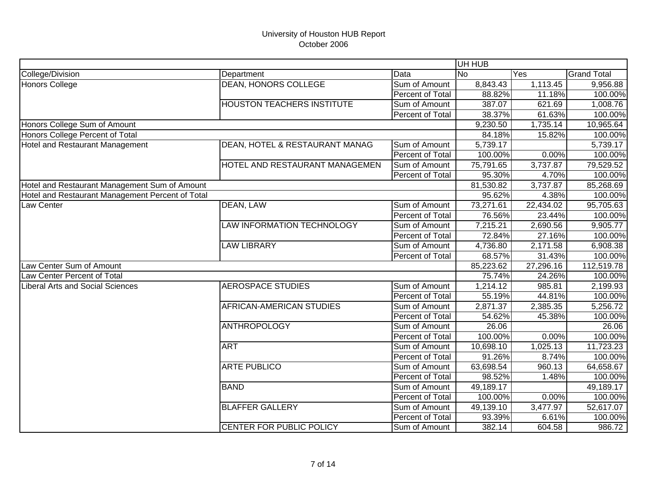|                                                  |                                   |                  | UH HUB    |                          |                    |
|--------------------------------------------------|-----------------------------------|------------------|-----------|--------------------------|--------------------|
| College/Division                                 | Department                        | Data             | <b>No</b> | Yes                      | <b>Grand Total</b> |
| Honors College                                   | <b>DEAN, HONORS COLLEGE</b>       | Sum of Amount    | 8,843.43  | 1,113.45                 | 9,956.88           |
|                                                  |                                   | Percent of Total | 88.82%    | 11.18%                   | 100.00%            |
|                                                  | <b>HOUSTON TEACHERS INSTITUTE</b> | Sum of Amount    | 387.07    | 621.69                   | 1,008.76           |
|                                                  |                                   | Percent of Total | 38.37%    | 61.63%                   | 100.00%            |
| Honors College Sum of Amount                     |                                   |                  | 9,230.50  | 1,735.14                 | 10,965.64          |
| Honors College Percent of Total                  |                                   |                  | 84.18%    | 15.82%                   | 100.00%            |
| Hotel and Restaurant Management                  | DEAN, HOTEL & RESTAURANT MANAG    | Sum of Amount    | 5,739.17  |                          | 5,739.17           |
|                                                  |                                   | Percent of Total | 100.00%   | 0.00%                    | 100.00%            |
|                                                  | HOTEL AND RESTAURANT MANAGEMEN    | Sum of Amount    | 75,791.65 | 3,737.87                 | 79,529.52          |
|                                                  |                                   | Percent of Total | 95.30%    | 4.70%                    | 100.00%            |
| Hotel and Restaurant Management Sum of Amount    |                                   |                  | 81,530.82 | 3,737.87                 | 85,268.69          |
| Hotel and Restaurant Management Percent of Total |                                   |                  | 95.62%    | 4.38%                    | 100.00%            |
| Law Center                                       | DEAN, LAW                         | Sum of Amount    | 73,271.61 | 22,434.02                | 95,705.63          |
|                                                  |                                   | Percent of Total | 76.56%    | 23.44%                   | 100.00%            |
|                                                  | LAW INFORMATION TECHNOLOGY        | Sum of Amount    | 7,215.21  | 2,690.56                 | 9,905.77           |
|                                                  |                                   | Percent of Total | 72.84%    | 27.16%                   | 100.00%            |
|                                                  | <b>LAW LIBRARY</b>                | Sum of Amount    | 4,736.80  | 2,171.58                 | 6,908.38           |
|                                                  |                                   | Percent of Total | 68.57%    | 31.43%                   | 100.00%            |
| Law Center Sum of Amount                         |                                   |                  | 85,223.62 | $\overline{27}$ , 296.16 | 112,519.78         |
| Law Center Percent of Total                      |                                   |                  | 75.74%    | 24.26%                   | 100.00%            |
| <b>Liberal Arts and Social Sciences</b>          | <b>AEROSPACE STUDIES</b>          | Sum of Amount    | 1,214.12  | 985.81                   | 2,199.93           |
|                                                  |                                   | Percent of Total | 55.19%    | 44.81%                   | 100.00%            |
|                                                  | AFRICAN-AMERICAN STUDIES          | Sum of Amount    | 2,871.37  | 2,385.35                 | 5,256.72           |
|                                                  |                                   | Percent of Total | 54.62%    | 45.38%                   | 100.00%            |
|                                                  | <b>ANTHROPOLOGY</b>               | Sum of Amount    | 26.06     |                          | 26.06              |
|                                                  |                                   | Percent of Total | 100.00%   | 0.00%                    | 100.00%            |
|                                                  | <b>ART</b>                        | Sum of Amount    | 10,698.10 | 1,025.13                 | 11,723.23          |
|                                                  |                                   | Percent of Total | 91.26%    | 8.74%                    | 100.00%            |
|                                                  | <b>ARTE PUBLICO</b>               | Sum of Amount    | 63,698.54 | 960.13                   | 64,658.67          |
|                                                  |                                   | Percent of Total | 98.52%    | 1.48%                    | 100.00%            |
|                                                  | <b>BAND</b>                       | Sum of Amount    | 49,189.17 |                          | 49,189.17          |
|                                                  |                                   | Percent of Total | 100.00%   | 0.00%                    | 100.00%            |
|                                                  | <b>BLAFFER GALLERY</b>            | Sum of Amount    | 49,139.10 | 3,477.97                 | 52,617.07          |
|                                                  |                                   | Percent of Total | 93.39%    | 6.61%                    | 100.00%            |
|                                                  | CENTER FOR PUBLIC POLICY          | Sum of Amount    | 382.14    | 604.58                   | 986.72             |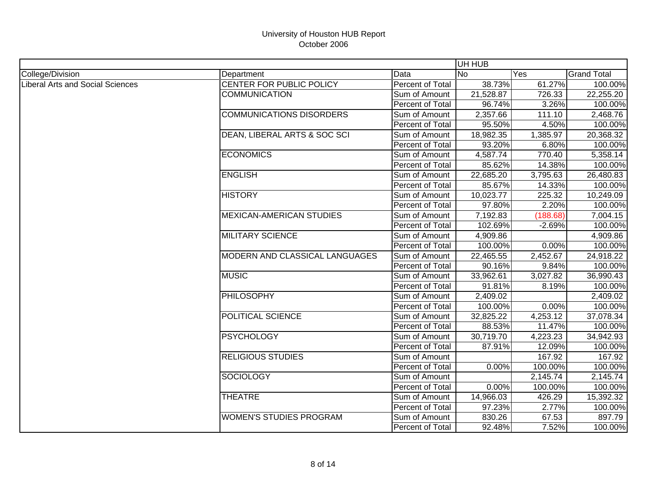|                                         |                                 |                  | UH HUB    |          |                    |
|-----------------------------------------|---------------------------------|------------------|-----------|----------|--------------------|
| College/Division                        | Department                      | Data             | <b>No</b> | Yes      | <b>Grand Total</b> |
| <b>Liberal Arts and Social Sciences</b> | CENTER FOR PUBLIC POLICY        | Percent of Total | 38.73%    | 61.27%   | 100.00%            |
|                                         | <b>COMMUNICATION</b>            | Sum of Amount    | 21,528.87 | 726.33   | 22,255.20          |
|                                         |                                 | Percent of Total | 96.74%    | 3.26%    | 100.00%            |
|                                         | <b>COMMUNICATIONS DISORDERS</b> | Sum of Amount    | 2,357.66  | 111.10   | 2,468.76           |
|                                         |                                 | Percent of Total | 95.50%    | 4.50%    | 100.00%            |
|                                         | DEAN, LIBERAL ARTS & SOC SCI    | Sum of Amount    | 18,982.35 | 1,385.97 | 20,368.32          |
|                                         |                                 | Percent of Total | 93.20%    | 6.80%    | 100.00%            |
|                                         | <b>ECONOMICS</b>                | Sum of Amount    | 4,587.74  | 770.40   | 5,358.14           |
|                                         |                                 | Percent of Total | 85.62%    | 14.38%   | 100.00%            |
|                                         | <b>ENGLISH</b>                  | Sum of Amount    | 22,685.20 | 3,795.63 | 26,480.83          |
|                                         |                                 | Percent of Total | 85.67%    | 14.33%   | 100.00%            |
|                                         | <b>HISTORY</b>                  | Sum of Amount    | 10,023.77 | 225.32   | 10,249.09          |
|                                         |                                 | Percent of Total | 97.80%    | 2.20%    | 100.00%            |
|                                         | <b>MEXICAN-AMERICAN STUDIES</b> | Sum of Amount    | 7,192.83  | (188.68) | 7,004.15           |
|                                         |                                 | Percent of Total | 102.69%   | $-2.69%$ | 100.00%            |
|                                         | <b>MILITARY SCIENCE</b>         | Sum of Amount    | 4,909.86  |          | 4,909.86           |
|                                         |                                 | Percent of Total | 100.00%   | 0.00%    | 100.00%            |
|                                         | MODERN AND CLASSICAL LANGUAGES  | Sum of Amount    | 22,465.55 | 2,452.67 | 24,918.22          |
|                                         |                                 | Percent of Total | 90.16%    | 9.84%    | 100.00%            |
|                                         | <b>MUSIC</b>                    | Sum of Amount    | 33,962.61 | 3,027.82 | 36,990.43          |
|                                         |                                 | Percent of Total | 91.81%    | 8.19%    | 100.00%            |
|                                         | <b>PHILOSOPHY</b>               | Sum of Amount    | 2,409.02  |          | 2,409.02           |
|                                         |                                 | Percent of Total | 100.00%   | 0.00%    | 100.00%            |
|                                         | POLITICAL SCIENCE               | Sum of Amount    | 32,825.22 | 4,253.12 | 37,078.34          |
|                                         |                                 | Percent of Total | 88.53%    | 11.47%   | 100.00%            |
|                                         | <b>PSYCHOLOGY</b>               | Sum of Amount    | 30,719.70 | 4,223.23 | 34,942.93          |
|                                         |                                 | Percent of Total | 87.91%    | 12.09%   | 100.00%            |
|                                         | <b>RELIGIOUS STUDIES</b>        | Sum of Amount    |           | 167.92   | 167.92             |
|                                         |                                 | Percent of Total | 0.00%     | 100.00%  | 100.00%            |
|                                         | <b>SOCIOLOGY</b>                | Sum of Amount    |           | 2,145.74 | 2,145.74           |
|                                         |                                 | Percent of Total | 0.00%     | 100.00%  | 100.00%            |
|                                         | <b>THEATRE</b>                  | Sum of Amount    | 14,966.03 | 426.29   | 15,392.32          |
|                                         |                                 | Percent of Total | 97.23%    | 2.77%    | 100.00%            |
|                                         | <b>WOMEN'S STUDIES PROGRAM</b>  | Sum of Amount    | 830.26    | 67.53    | 897.79             |
|                                         |                                 | Percent of Total | 92.48%    | 7.52%    | 100.00%            |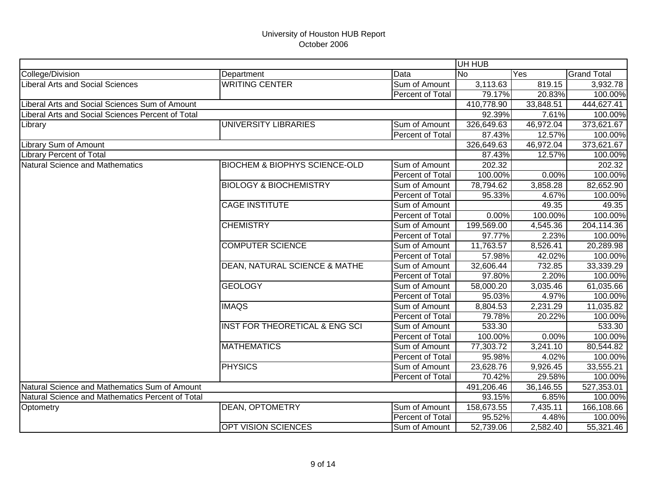|                                                   |                                           |                         | UH HUB     |                          |                    |
|---------------------------------------------------|-------------------------------------------|-------------------------|------------|--------------------------|--------------------|
| College/Division                                  | Department                                | Data                    | <b>No</b>  | Yes                      | <b>Grand Total</b> |
| <b>Liberal Arts and Social Sciences</b>           | <b>WRITING CENTER</b>                     | Sum of Amount           | 3,113.63   | 819.15                   | 3,932.78           |
|                                                   |                                           | Percent of Total        | 79.17%     | 20.83%                   | 100.00%            |
| Liberal Arts and Social Sciences Sum of Amount    |                                           |                         | 410,778.90 | 33,848.51                | 444,627.41         |
| Liberal Arts and Social Sciences Percent of Total |                                           |                         | 92.39%     | 7.61%                    | 100.00%            |
| Library                                           | UNIVERSITY LIBRARIES                      | Sum of Amount           | 326,649.63 | 46,972.04                | 373,621.67         |
|                                                   |                                           | Percent of Total        | 87.43%     | 12.57%                   | 100.00%            |
| Library Sum of Amount                             |                                           |                         | 326,649.63 | 46,972.04                | 373,621.67         |
| <b>Library Percent of Total</b>                   |                                           |                         | 87.43%     | 12.57%                   | 100.00%            |
| Natural Science and Mathematics                   | <b>BIOCHEM &amp; BIOPHYS SCIENCE-OLD</b>  | Sum of Amount           | 202.32     |                          | 202.32             |
|                                                   |                                           | Percent of Total        | 100.00%    | 0.00%                    | 100.00%            |
|                                                   | <b>BIOLOGY &amp; BIOCHEMISTRY</b>         | Sum of Amount           | 78,794.62  | 3,858.28                 | 82,652.90          |
|                                                   |                                           | Percent of Total        | 95.33%     | 4.67%                    | 100.00%            |
|                                                   | <b>CAGE INSTITUTE</b>                     | Sum of Amount           |            | 49.35                    | 49.35              |
|                                                   |                                           | Percent of Total        | 0.00%      | 100.00%                  | 100.00%            |
|                                                   | <b>CHEMISTRY</b>                          | Sum of Amount           | 199,569.00 | 4,545.36                 | 204,114.36         |
|                                                   |                                           | Percent of Total        | 97.77%     | 2.23%                    | 100.00%            |
|                                                   | <b>COMPUTER SCIENCE</b>                   | Sum of Amount           | 11,763.57  | 8,526.41                 | 20,289.98          |
|                                                   |                                           | Percent of Total        | 57.98%     | 42.02%                   | 100.00%            |
|                                                   | DEAN, NATURAL SCIENCE & MATHE             | Sum of Amount           | 32,606.44  | 732.85                   | 33,339.29          |
|                                                   |                                           | Percent of Total        | 97.80%     | 2.20%                    | 100.00%            |
|                                                   | <b>GEOLOGY</b>                            | Sum of Amount           | 58,000.20  | 3,035.46                 | 61,035.66          |
|                                                   |                                           | Percent of Total        | 95.03%     | 4.97%                    | 100.00%            |
|                                                   | <b>IMAQS</b>                              | Sum of Amount           | 8,804.53   | 2,231.29                 | 11,035.82          |
|                                                   |                                           | Percent of Total        | 79.78%     | 20.22%                   | 100.00%            |
|                                                   | <b>INST FOR THEORETICAL &amp; ENG SCI</b> | Sum of Amount           | 533.30     |                          | 533.30             |
|                                                   |                                           | Percent of Total        | 100.00%    | 0.00%                    | 100.00%            |
|                                                   | <b>MATHEMATICS</b>                        | Sum of Amount           | 77,303.72  | 3,241.10                 | 80,544.82          |
|                                                   |                                           | Percent of Total        | 95.98%     | 4.02%                    | 100.00%            |
|                                                   | <b>PHYSICS</b>                            | Sum of Amount           | 23,628.76  | 9,926.45                 | 33,555.21          |
|                                                   |                                           | <b>Percent of Total</b> | 70.42%     | 29.58%                   | 100.00%            |
| Natural Science and Mathematics Sum of Amount     |                                           |                         | 491,206.46 | $\overline{36}$ , 146.55 | 527,353.01         |
| Natural Science and Mathematics Percent of Total  |                                           |                         | 93.15%     | 6.85%                    | 100.00%            |
| Optometry                                         | <b>DEAN, OPTOMETRY</b>                    | Sum of Amount           | 158,673.55 | 7,435.11                 | 166,108.66         |
|                                                   |                                           | <b>Percent of Total</b> | 95.52%     | 4.48%                    | 100.00%            |
|                                                   | <b>OPT VISION SCIENCES</b>                | Sum of Amount           | 52,739.06  | 2,582.40                 | 55,321.46          |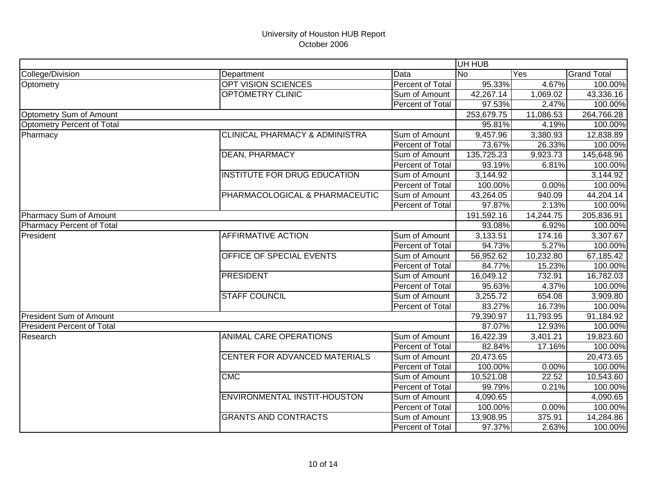|                                   |                                           |                         | UH HUB         |           |                    |
|-----------------------------------|-------------------------------------------|-------------------------|----------------|-----------|--------------------|
| College/Division                  | Department                                | Data                    | N <sub>0</sub> | Yes       | <b>Grand Total</b> |
| Optometry                         | OPT VISION SCIENCES                       | <b>Percent of Total</b> | 95.33%         | 4.67%     | 100.00%            |
|                                   | <b>OPTOMETRY CLINIC</b>                   | Sum of Amount           | 42,267.14      | 1,069.02  | 43,336.16          |
|                                   |                                           | Percent of Total        | 97.53%         | 2.47%     | 100.00%            |
| Optometry Sum of Amount           |                                           |                         | 253,679.75     | 11,086.53 | 264,766.28         |
| Optometry Percent of Total        |                                           |                         | 95.81%         | 4.19%     | 100.00%            |
| Pharmacy                          | <b>CLINICAL PHARMACY &amp; ADMINISTRA</b> | Sum of Amount           | 9,457.96       | 3,380.93  | 12,838.89          |
|                                   |                                           | Percent of Total        | 73.67%         | 26.33%    | 100.00%            |
|                                   | <b>DEAN, PHARMACY</b>                     | Sum of Amount           | 135,725.23     | 9,923.73  | 145,648.96         |
|                                   |                                           | Percent of Total        | 93.19%         | 6.81%     | 100.00%            |
|                                   | INSTITUTE FOR DRUG EDUCATION              | Sum of Amount           | 3,144.92       |           | 3,144.92           |
|                                   |                                           | Percent of Total        | 100.00%        | 0.00%     | 100.00%            |
|                                   | PHARMACOLOGICAL & PHARMACEUTIC            | Sum of Amount           | 43,264.05      | 940.09    | 44,204.14          |
|                                   |                                           | Percent of Total        | 97.87%         | 2.13%     | 100.00%            |
| Pharmacy Sum of Amount            |                                           |                         | 191,592.16     | 14,244.75 | 205,836.91         |
| Pharmacy Percent of Total         |                                           |                         | 93.08%         | 6.92%     | 100.00%            |
| President                         | <b>AFFIRMATIVE ACTION</b>                 | Sum of Amount           | 3,133.51       | 174.16    | 3,307.67           |
|                                   |                                           | Percent of Total        | 94.73%         | 5.27%     | 100.00%            |
|                                   | OFFICE OF SPECIAL EVENTS                  | Sum of Amount           | 56,952.62      | 10,232.80 | 67,185.42          |
|                                   |                                           | Percent of Total        | 84.77%         | 15.23%    | 100.00%            |
|                                   | <b>PRESIDENT</b>                          | Sum of Amount           | 16,049.12      | 732.91    | 16,782.03          |
|                                   |                                           | Percent of Total        | 95.63%         | 4.37%     | 100.00%            |
|                                   | <b>STAFF COUNCIL</b>                      | Sum of Amount           | 3,255.72       | 654.08    | 3,909.80           |
|                                   |                                           | Percent of Total        | 83.27%         | 16.73%    | 100.00%            |
| <b>President Sum of Amount</b>    |                                           |                         | 79,390.97      | 11,793.95 | 91,184.92          |
| <b>President Percent of Total</b> |                                           |                         | 87.07%         | 12.93%    | 100.00%            |
| Research                          | <b>ANIMAL CARE OPERATIONS</b>             | Sum of Amount           | 16,422.39      | 3,401.21  | 19,823.60          |
|                                   |                                           | Percent of Total        | 82.84%         | 17.16%    | 100.00%            |
|                                   | <b>CENTER FOR ADVANCED MATERIALS</b>      | Sum of Amount           | 20,473.65      |           | 20,473.65          |
|                                   |                                           | Percent of Total        | 100.00%        | 0.00%     | 100.00%            |
|                                   | <b>CMC</b>                                | Sum of Amount           | 10,521.08      | 22.52     | 10,543.60          |
|                                   |                                           | Percent of Total        | 99.79%         | 0.21%     | 100.00%            |
|                                   | ENVIRONMENTAL INSTIT-HOUSTON              | Sum of Amount           | 4,090.65       |           | 4,090.65           |
|                                   |                                           | Percent of Total        | 100.00%        | 0.00%     | 100.00%            |
|                                   | <b>GRANTS AND CONTRACTS</b>               | Sum of Amount           | 13,908.95      | 375.91    | 14,284.86          |
|                                   |                                           | Percent of Total        | 97.37%         | 2.63%     | 100.00%            |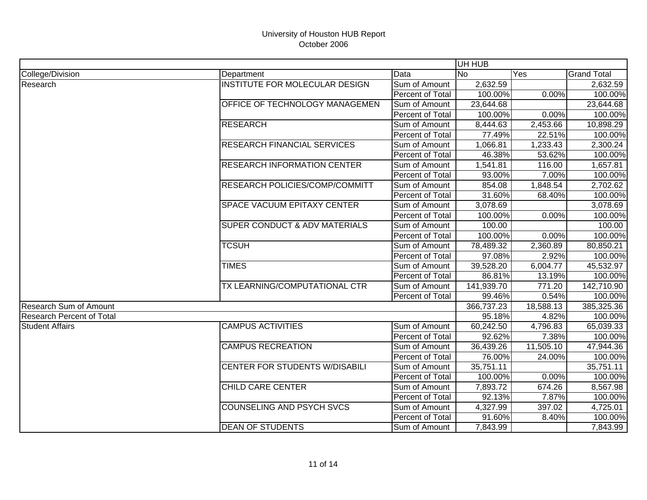|                                  |                                          |                  | UH HUB     |           |                    |
|----------------------------------|------------------------------------------|------------------|------------|-----------|--------------------|
| College/Division                 | Department                               | Data             | <b>No</b>  | Yes       | <b>Grand Total</b> |
| Research                         | <b>INSTITUTE FOR MOLECULAR DESIGN</b>    | Sum of Amount    | 2,632.59   |           | 2,632.59           |
|                                  |                                          | Percent of Total | 100.00%    | 0.00%     | 100.00%            |
|                                  | <b>OFFICE OF TECHNOLOGY MANAGEMEN</b>    | Sum of Amount    | 23,644.68  |           | 23,644.68          |
|                                  |                                          | Percent of Total | 100.00%    | 0.00%     | 100.00%            |
|                                  | <b>RESEARCH</b>                          | Sum of Amount    | 8,444.63   | 2,453.66  | 10,898.29          |
|                                  |                                          | Percent of Total | 77.49%     | 22.51%    | 100.00%            |
|                                  | <b>RESEARCH FINANCIAL SERVICES</b>       | Sum of Amount    | 1,066.81   | 1,233.43  | 2,300.24           |
|                                  |                                          | Percent of Total | 46.38%     | 53.62%    | 100.00%            |
|                                  | <b>RESEARCH INFORMATION CENTER</b>       | Sum of Amount    | 1,541.81   | 116.00    | 1,657.81           |
|                                  |                                          | Percent of Total | 93.00%     | 7.00%     | 100.00%            |
|                                  | RESEARCH POLICIES/COMP/COMMITT           | Sum of Amount    | 854.08     | 1,848.54  | 2,702.62           |
|                                  |                                          | Percent of Total | 31.60%     | 68.40%    | 100.00%            |
|                                  | <b>SPACE VACUUM EPITAXY CENTER</b>       | Sum of Amount    | 3,078.69   |           | 3,078.69           |
|                                  |                                          | Percent of Total | 100.00%    | 0.00%     | 100.00%            |
|                                  | <b>SUPER CONDUCT &amp; ADV MATERIALS</b> | Sum of Amount    | 100.00     |           | 100.00             |
|                                  |                                          | Percent of Total | 100.00%    | 0.00%     | 100.00%            |
|                                  | <b>TCSUH</b>                             | Sum of Amount    | 78,489.32  | 2,360.89  | 80,850.21          |
|                                  |                                          | Percent of Total | 97.08%     | 2.92%     | 100.00%            |
|                                  | <b>TIMES</b>                             | Sum of Amount    | 39,528.20  | 6,004.77  | 45,532.97          |
|                                  |                                          | Percent of Total | 86.81%     | 13.19%    | 100.00%            |
|                                  | TX LEARNING/COMPUTATIONAL CTR            | Sum of Amount    | 141,939.70 | 771.20    | 142,710.90         |
|                                  |                                          | Percent of Total | 99.46%     | 0.54%     | 100.00%            |
| <b>Research Sum of Amount</b>    |                                          |                  | 366,737.23 | 18,588.13 | 385,325.36         |
| <b>Research Percent of Total</b> |                                          |                  | 95.18%     | 4.82%     | 100.00%            |
| <b>Student Affairs</b>           | <b>CAMPUS ACTIVITIES</b>                 | Sum of Amount    | 60,242.50  | 4,796.83  | 65,039.33          |
|                                  |                                          | Percent of Total | 92.62%     | 7.38%     | 100.00%            |
|                                  | <b>CAMPUS RECREATION</b>                 | Sum of Amount    | 36,439.26  | 11,505.10 | 47,944.36          |
|                                  |                                          | Percent of Total | 76.00%     | 24.00%    | 100.00%            |
|                                  | <b>CENTER FOR STUDENTS W/DISABILI</b>    | Sum of Amount    | 35,751.11  |           | 35,751.11          |
|                                  |                                          | Percent of Total | 100.00%    | 0.00%     | 100.00%            |
|                                  | <b>CHILD CARE CENTER</b>                 | Sum of Amount    | 7,893.72   | 674.26    | 8,567.98           |
|                                  |                                          | Percent of Total | 92.13%     | 7.87%     | 100.00%            |
|                                  | <b>COUNSELING AND PSYCH SVCS</b>         | Sum of Amount    | 4,327.99   | 397.02    | 4,725.01           |
|                                  |                                          | Percent of Total | 91.60%     | 8.40%     | 100.00%            |
|                                  | <b>DEAN OF STUDENTS</b>                  | Sum of Amount    | 7,843.99   |           | 7,843.99           |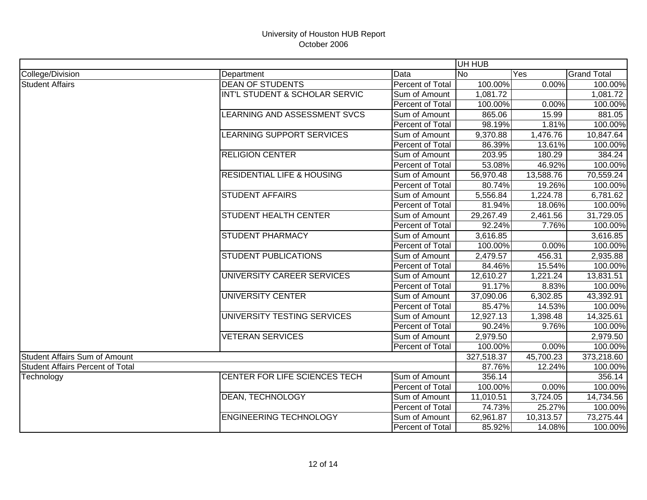|                                         |                                       |                         | UH HUB     |           |                    |
|-----------------------------------------|---------------------------------------|-------------------------|------------|-----------|--------------------|
| College/Division                        | Department                            | Data                    | <b>No</b>  | Yes       | <b>Grand Total</b> |
| <b>Student Affairs</b>                  | <b>DEAN OF STUDENTS</b>               | <b>Percent of Total</b> | 100.00%    | 0.00%     | 100.00%            |
|                                         | INT'L STUDENT & SCHOLAR SERVIC        | Sum of Amount           | 1,081.72   |           | 1,081.72           |
|                                         |                                       | Percent of Total        | 100.00%    | 0.00%     | 100.00%            |
|                                         | LEARNING AND ASSESSMENT SVCS          | Sum of Amount           | 865.06     | 15.99     | 881.05             |
|                                         |                                       | Percent of Total        | 98.19%     | 1.81%     | 100.00%            |
|                                         | LEARNING SUPPORT SERVICES             | Sum of Amount           | 9,370.88   | 1,476.76  | 10,847.64          |
|                                         |                                       | Percent of Total        | 86.39%     | 13.61%    | 100.00%            |
|                                         | <b>RELIGION CENTER</b>                | Sum of Amount           | 203.95     | 180.29    | 384.24             |
|                                         |                                       | Percent of Total        | 53.08%     | 46.92%    | 100.00%            |
|                                         | <b>RESIDENTIAL LIFE &amp; HOUSING</b> | Sum of Amount           | 56,970.48  | 13,588.76 | 70,559.24          |
|                                         |                                       | Percent of Total        | 80.74%     | 19.26%    | 100.00%            |
|                                         | <b>STUDENT AFFAIRS</b>                | Sum of Amount           | 5,556.84   | 1,224.78  | 6,781.62           |
|                                         |                                       | Percent of Total        | 81.94%     | 18.06%    | 100.00%            |
|                                         | <b>STUDENT HEALTH CENTER</b>          | Sum of Amount           | 29,267.49  | 2,461.56  | 31,729.05          |
|                                         |                                       | Percent of Total        | 92.24%     | 7.76%     | 100.00%            |
|                                         | <b>STUDENT PHARMACY</b>               | Sum of Amount           | 3,616.85   |           | 3,616.85           |
|                                         |                                       | Percent of Total        | 100.00%    | 0.00%     | 100.00%            |
|                                         | <b>STUDENT PUBLICATIONS</b>           | Sum of Amount           | 2,479.57   | 456.31    | 2,935.88           |
|                                         |                                       | Percent of Total        | 84.46%     | 15.54%    | 100.00%            |
|                                         | UNIVERSITY CAREER SERVICES            | Sum of Amount           | 12,610.27  | 1,221.24  | 13,831.51          |
|                                         |                                       | Percent of Total        | 91.17%     | 8.83%     | 100.00%            |
|                                         | <b>UNIVERSITY CENTER</b>              | Sum of Amount           | 37,090.06  | 6,302.85  | 43,392.91          |
|                                         |                                       | Percent of Total        | 85.47%     | 14.53%    | 100.00%            |
|                                         | UNIVERSITY TESTING SERVICES           | Sum of Amount           | 12,927.13  | 1,398.48  | 14,325.61          |
|                                         |                                       | Percent of Total        | 90.24%     | 9.76%     | 100.00%            |
|                                         | <b>VETERAN SERVICES</b>               | Sum of Amount           | 2,979.50   |           | 2,979.50           |
|                                         |                                       | Percent of Total        | 100.00%    | 0.00%     | 100.00%            |
| <b>Student Affairs Sum of Amount</b>    |                                       |                         | 327,518.37 | 45,700.23 | 373,218.60         |
| <b>Student Affairs Percent of Total</b> |                                       |                         | 87.76%     | 12.24%    | 100.00%            |
| Technology                              | CENTER FOR LIFE SCIENCES TECH         | Sum of Amount           | 356.14     |           | 356.14             |
|                                         |                                       | Percent of Total        | 100.00%    | 0.00%     | 100.00%            |
|                                         | <b>DEAN, TECHNOLOGY</b>               | Sum of Amount           | 11,010.51  | 3,724.05  | 14,734.56          |
|                                         |                                       | Percent of Total        | 74.73%     | 25.27%    | 100.00%            |
|                                         | <b>ENGINEERING TECHNOLOGY</b>         | Sum of Amount           | 62,961.87  | 10,313.57 | 73,275.44          |
|                                         |                                       | Percent of Total        | 85.92%     | 14.08%    | 100.00%            |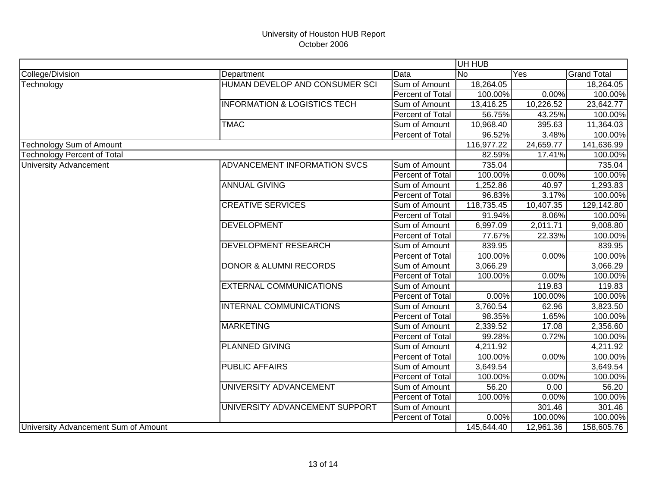|                                      |                                         |                  | UH HUB     |           |                    |
|--------------------------------------|-----------------------------------------|------------------|------------|-----------|--------------------|
| College/Division                     | Department                              | Data             | <b>No</b>  | Yes       | <b>Grand Total</b> |
| Technology                           | HUMAN DEVELOP AND CONSUMER SCI          | Sum of Amount    | 18,264.05  |           | 18,264.05          |
|                                      |                                         | Percent of Total | 100.00%    | 0.00%     | 100.00%            |
|                                      | <b>INFORMATION &amp; LOGISTICS TECH</b> | Sum of Amount    | 13,416.25  | 10,226.52 | 23,642.77          |
|                                      |                                         | Percent of Total | 56.75%     | 43.25%    | 100.00%            |
|                                      | <b>TMAC</b>                             | Sum of Amount    | 10,968.40  | 395.63    | 11,364.03          |
|                                      |                                         | Percent of Total | 96.52%     | 3.48%     | 100.00%            |
| Technology Sum of Amount             |                                         |                  | 116,977.22 | 24,659.77 | 141,636.99         |
| <b>Technology Percent of Total</b>   |                                         |                  | 82.59%     | 17.41%    | 100.00%            |
| <b>University Advancement</b>        | ADVANCEMENT INFORMATION SVCS            | Sum of Amount    | 735.04     |           | 735.04             |
|                                      |                                         | Percent of Total | 100.00%    | 0.00%     | 100.00%            |
|                                      | <b>ANNUAL GIVING</b>                    | Sum of Amount    | 1,252.86   | 40.97     | 1,293.83           |
|                                      |                                         | Percent of Total | 96.83%     | 3.17%     | 100.00%            |
|                                      | <b>CREATIVE SERVICES</b>                | Sum of Amount    | 118,735.45 | 10,407.35 | 129,142.80         |
|                                      |                                         | Percent of Total | 91.94%     | 8.06%     | 100.00%            |
|                                      | <b>DEVELOPMENT</b>                      | Sum of Amount    | 6,997.09   | 2,011.71  | 9,008.80           |
|                                      |                                         | Percent of Total | 77.67%     | 22.33%    | 100.00%            |
|                                      | <b>DEVELOPMENT RESEARCH</b>             | Sum of Amount    | 839.95     |           | 839.95             |
|                                      |                                         | Percent of Total | 100.00%    | 0.00%     | 100.00%            |
|                                      | <b>DONOR &amp; ALUMNI RECORDS</b>       | Sum of Amount    | 3,066.29   |           | 3,066.29           |
|                                      |                                         | Percent of Total | 100.00%    | 0.00%     | 100.00%            |
|                                      | <b>EXTERNAL COMMUNICATIONS</b>          | Sum of Amount    |            | 119.83    | 119.83             |
|                                      |                                         | Percent of Total | 0.00%      | 100.00%   | 100.00%            |
|                                      | <b>INTERNAL COMMUNICATIONS</b>          | Sum of Amount    | 3,760.54   | 62.96     | 3,823.50           |
|                                      |                                         | Percent of Total | 98.35%     | 1.65%     | 100.00%            |
|                                      | <b>MARKETING</b>                        | Sum of Amount    | 2,339.52   | 17.08     | 2,356.60           |
|                                      |                                         | Percent of Total | 99.28%     | 0.72%     | 100.00%            |
|                                      | <b>PLANNED GIVING</b>                   | Sum of Amount    | 4,211.92   |           | 4,211.92           |
|                                      |                                         | Percent of Total | 100.00%    | 0.00%     | 100.00%            |
|                                      | <b>PUBLIC AFFAIRS</b>                   | Sum of Amount    | 3,649.54   |           | 3,649.54           |
|                                      |                                         | Percent of Total | 100.00%    | 0.00%     | 100.00%            |
|                                      | UNIVERSITY ADVANCEMENT                  | Sum of Amount    | 56.20      | 0.00      | 56.20              |
|                                      |                                         | Percent of Total | 100.00%    | 0.00%     | 100.00%            |
|                                      | UNIVERSITY ADVANCEMENT SUPPORT          | Sum of Amount    |            | 301.46    | 301.46             |
|                                      |                                         | Percent of Total | 0.00%      | 100.00%   | 100.00%            |
| University Advancement Sum of Amount |                                         |                  | 145,644.40 | 12,961.36 | 158,605.76         |